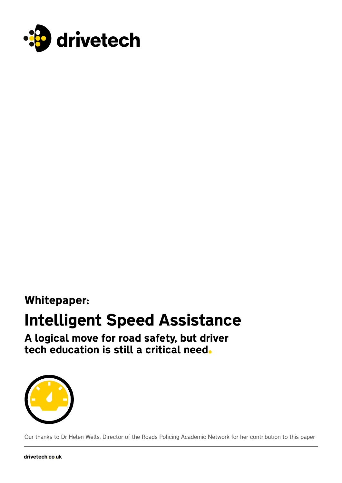

### Whitepaper:

# Intelligent Speed Assistance

A logical move for road safety, but driver tech education is still a critical need



Our thanks to Dr Helen Wells, Director of the Roads Policing Academic Network for her contribution to this paper

drivetech.co.uk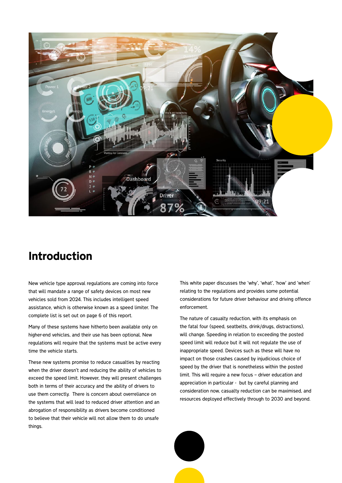

### Introduction

New vehicle type approval regulations are coming into force that will mandate a range of safety devices on most new vehicles sold from 2024. This includes intelligent speed assistance, which is otherwise known as a speed limiter. The complete list is set out on page 6 of this report.

Many of these systems have hitherto been available only on higher-end vehicles, and their use has been optional. New regulations will require that the systems must be active every time the vehicle starts.

These new systems promise to reduce casualties by reacting when the driver doesn't and reducing the ability of vehicles to exceed the speed limit. However, they will present challenges both in terms of their accuracy and the ability of drivers to use them correctly. There is concern about overreliance on the systems that will lead to reduced driver attention and an abrogation of responsibility as drivers become conditioned to believe that their vehicle will not allow them to do unsafe things.

This white paper discusses the 'why', 'what', 'how' and 'when' relating to the regulations and provides some potential considerations for future driver behaviour and driving offence enforcement.

The nature of casualty reduction, with its emphasis on the fatal four (speed, seatbelts, drink/drugs, distractions), will change. Speeding in relation to exceeding the posted speed limit will reduce but it will not regulate the use of inappropriate speed. Devices such as these will have no impact on those crashes caused by injudicious choice of speed by the driver that is nonetheless within the posted limit. This will require a new focus – driver education and appreciation in particular - but by careful planning and consideration now, casualty reduction can be maximised, and resources deployed effectively through to 2030 and beyond.

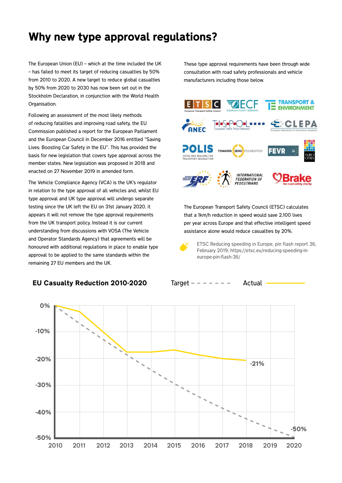### Why new type approval regulations?

The European Union (EU) – which at the time included the UK – has failed to meet its target of reducing casualties by 50% from 2010 to 2020. A new target to reduce global casualties by 50% from 2020 to 2030 has now been set out in the Stockholm Declaration, in conjunction with the World Health Organisation.

Following an assessment of the most likely methods of reducing fatalities and improving road safety, the EU Commission published a report for the European Parliament and the European Council in December 2016 entitled "Saving Lives: Boosting Car Safety in the EU". This has provided the basis for new legislation that covers type approval across the member states. New legislation was proposed in 2018 and enacted on 27 November 2019 in amended form.

The Vehicle Compliance Agency (VCA) is the UK's regulator in relation to the type approval of all vehicles and, whilst EU type approval and UK type approval will undergo separate testing since the UK left the EU on 31st January 2020, it appears it will not remove the type approval requirements from the UK transport policy. Instead it is our current understanding from discussions with VOSA (The Vehicle and Operator Standards Agency) that agreements will be honoured with additional regulations in place to enable type approval to be applied to the same standards within the remaining 27 EU members and the UK.

#### EU Casualty Reduction 2010-2020 Target  $- - - - -$  Actual -

These type approval requirements have been through wide consultation with road safety professionals and vehicle manufacturers including those below.



The European Transport Safety Council (ETSC) calculates that a 1km/h reduction in speed would save 2,100 lives per year across Europe and that effective intelligent speed assistance alone would reduce casualties by 20%.



ETSC Reducing speeding in Europe, pin flash report 36, February 2019; https://etsc.eu/reducing-speeding-ineurope-pin-flash-36/

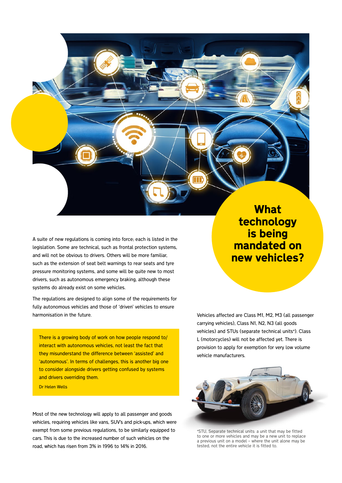A suite of new regulations is coming into force; each is listed in the legislation. Some are technical, such as frontal protection systems, and will not be obvious to drivers. Others will be more familiar, such as the extension of seat belt warnings to rear seats and tyre pressure monitoring systems, and some will be quite new to most drivers, such as autonomous emergency braking, although these systems do already exist on some vehicles.

The regulations are designed to align some of the requirements for fully autonomous vehicles and those of 'driven' vehicles to ensure harmonisation in the future.

There is a growing body of work on how people respond to/ interact with autonomous vehicles, not least the fact that they misunderstand the difference between 'assisted' and 'autonomous'. In terms of challenges, this is another big one to consider alongside drivers getting confused by systems and drivers overriding them.

Dr Helen Wells

Most of the new technology will apply to all passenger and goods vehicles, requiring vehicles like vans, SUV's and pick-ups, which were exempt from some previous regulations, to be similarly equipped to cars. This is due to the increased number of such vehicles on the road, which has risen from 3% in 1996 to 14% in 2016.

What technology is being mandated on new vehicles?

Vehicles affected are Class M1, M2, M3 (all passenger carrying vehicles), Class N1, N2, N3 (all goods vehicles) and STUs (separate technical units\*). Class L (motorcycles) will not be affected yet. There is provision to apply for exemption for very low volume vehicle manufacturers.



\*STU, Separate technical units: a unit that may be fitted to one or more vehicles and may be a new unit to replace a previous unit on a model – where the unit alone may be tested, not the entire vehicle it is fitted to.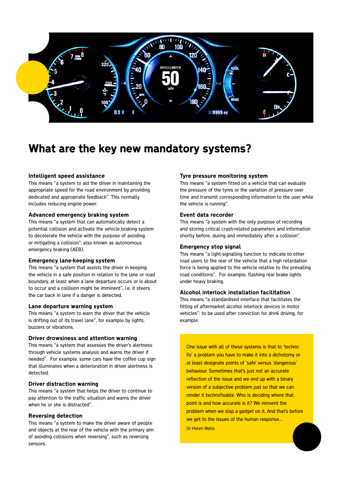

### What are the key new mandatory systems?

#### Intelligent speed assistance

This means "a system to aid the driver in maintaining the appropriate speed for the road environment by providing dedicated and appropriate feedback". This normally includes reducing engine power.

#### Advanced emergency braking system

This means "a system that can automatically detect a potential collision and activate the vehicle braking system to decelerate the vehicle with the purpose of avoiding or mitigating a collision": also known as autonomous emergency braking (AEB).

#### Emergency lane-keeping system

This means "a system that assists the driver in keeping the vehicle in a safe position in relation to the lane or road boundary, at least when a lane departure occurs or is about to occur and a collision might be imminent"; i.e. it steers the car back in lane if a danger is detected.

#### Lane departure warning system

This means "a system to warn the driver that the vehicle is drifting out of its travel lane", for example by lights, buzzers or vibrations.

#### Driver drowsiness and attention warning

This means "a system that assesses the driver's alertness through vehicle systems analysis and warns the driver if needed". For example, some cars have the coffee cup sign that illuminates when a deterioration in driver alertness is detected.

#### Driver distraction warning

This means "a system that helps the driver to continue to pay attention to the traffic situation and warns the driver when he or she is distracted".

#### Reversing detection

This means "a system to make the driver aware of people and objects at the rear of the vehicle with the primary aim of avoiding collisions when reversing", such as reversing sensors.

#### Tyre pressure monitoring system

This means "a system fitted on a vehicle that can evaluate the pressure of the tyres or the variation of pressure over time and transmit corresponding information to the user while the vehicle is running".

#### Event data recorder

This means "a system with the only purpose of recording and storing critical crash-related parameters and information shortly before, during and immediately after a collision".

#### Emergency stop signal

This means "a light-signalling function to indicate to other road users to the rear of the vehicle that a high retardation force is being applied to the vehicle relative to the prevailing road conditions". For example, flashing rear brake lights under heavy braking.

#### Alcohol interlock installation facilitation

This means "a standardised interface that facilitates the fitting of aftermarket alcohol interlock devices in motor vehicles": to be used after conviction for drink driving, for example.

One issue with all of these systems is that to 'techno fix' a problem you have to make it into a dichotomy or at least designate points of 'safe' versus 'dangerous' behaviour. Sometimes that's just not an accurate reflection of the issue and we end up with a binary version of a subjective problem just so that we can render it technofixable. Who is deciding where that point is and how accurate is it? We reinvent the problem when we slap a gadget on it. And that's before we get to the issues of the human response... Dr Helen Wells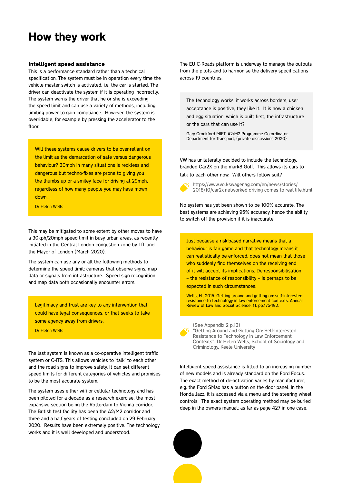### How they work

#### Intelligent speed assistance

This is a performance standard rather than a technical specification. The system must be in operation every time the vehicle master switch is activated, i.e. the car is started. The driver can deactivate the system if it is operating incorrectly. The system warns the driver that he or she is exceeding the speed limit and can use a variety of methods, including limiting power to gain compliance. However, the system is overridable, for example by pressing the accelerator to the floor.

Will these systems cause drivers to be over-reliant on the limit as the demarcation of safe versus dangerous behaviour? 30mph in many situations is reckless and dangerous but techno-fixes are prone to giving you the thumbs up or a smiley face for driving at 29mph, regardless of how many people you may have mown down....

Dr Helen Wells

This may be mitigated to some extent by other moves to have a 30kph/20mph speed limit in busy urban areas, as recently initiated in the Central London congestion zone by TfL and the Mayor of London (March 2020).

The system can use any or all the following methods to determine the speed limit: cameras that observe signs, map data or signals from infrastructure. Speed sign recognition and map data both occasionally encounter errors.

Legitimacy and trust are key to any intervention that could have legal consequences, or that seeks to take some agency away from drivers.

Dr Helen Wells

The last system is known as a co-operative intelligent traffic system or C-ITS. This allows vehicles to 'talk' to each other and the road signs to improve safety. It can set different speed limits for different categories of vehicles and promises to be the most accurate system.

The system uses either wifi or cellular technology and has been piloted for a decade as a research exercise, the most expansive section being the Rotterdam to Vienna corridor. The British test facility has been the A2/M2 corridor and three and a half years of testing concluded on 29 February 2020. Results have been extremely positive. The technology works and it is well developed and understood.

The EU C-Roads platform is underway to manage the outputs from the pilots and to harmonise the delivery specifications across 19 countries.

The technology works, it works across borders, user acceptance is positive, they like it. It is now a chicken and egg situation, which is built first, the infrastructure or the cars that can use it?

Gary Crockford MIET, A2/M2 Programme Co-ordinator, Department for Transport, (private discussions 2020)

VW has unilaterally decided to include the technology, branded Car2X on the mark8 Golf. This allows its cars to talk to each other now. Will others follow suit?



https://www.volkswagenag.com/en/news/stories/ 2018/10/car2x-networked-driving-comes-to-real-life.html

No system has yet been shown to be 100% accurate. The best systems are achieving 95% accuracy, hence the ability to switch off the provision if it is inaccurate.

Just because a risk-based narrative means that a behaviour is fair game and that technology means it can realistically be enforced, does not mean that those who suddenly find themselves on the receiving end of it will accept its implications. De-responsibilisation – the resistance of responsibility – is perhaps to be expected in such circumstances.

Wells, H., 2015. Getting around and getting on: self-interested resistance to technology in law enforcement contexts. Annual Review of Law and Social Science, 11, pp.175-192.

(See Appendix 2 p.13) "Getting Around and Getting On: Self-Interested Resistance to Technology in Law Enforcement Contexts". Dr Helen Wells, School of Sociology and Criminology, Keele University

Intelligent speed assistance is fitted to an increasing number of new models and is already standard on the Ford Focus. The exact method of de-activation varies by manufacturer, e.g. the Ford SMax has a button on the door panel. In the Honda Jazz, it is accessed via a menu and the steering wheel controls. The exact system operating method may be buried deep in the owners-manual: as far as page 427 in one case.

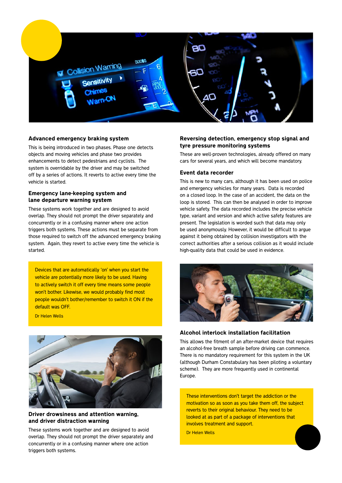

#### Advanced emergency braking system

This is being introduced in two phases. Phase one detects objects and moving vehicles and phase two provides enhancements to detect pedestrians and cyclists. The system is overridable by the driver and may be switched off by a series of actions. It reverts to active every time the vehicle is started.

#### Emergency lane-keeping system and lane departure warning system

These systems work together and are designed to avoid overlap. They should not prompt the driver separately and concurrently or in a confusing manner where one action triggers both systems. These actions must be separate from those required to switch off the advanced emergency braking system. Again, they revert to active every time the vehicle is started.

Devices that are automatically 'on' when you start the vehicle are potentially more likely to be used. Having to actively switch it off every time means some people won't bother. Likewise, we would probably find most people wouldn't bother/remember to switch it ON if the default was OFF.

Dr Helen Wells



#### Driver drowsiness and attention warning, and driver distraction warning

These systems work together and are designed to avoid overlap. They should not prompt the driver separately and concurrently or in a confusing manner where one action triggers both systems.

#### Reversing detection, emergency stop signal and tyre pressure monitoring systems

These are well-proven technologies, already offered on many cars for several years, and which will become mandatory.

#### Event data recorder

This is new to many cars, although it has been used on police and emergency vehicles for many years. Data is recorded on a closed loop. In the case of an accident, the data on the loop is stored. This can then be analysed in order to improve vehicle safety. The data recorded includes the precise vehicle type, variant and version and which active safety features are present. The legislation is worded such that data may only be used anonymously. However, it would be difficult to argue against it being obtained by collision investigators with the correct authorities after a serious collision as it would include high-quality data that could be used in evidence.



#### Alcohol interlock installation facilitation

This allows the fitment of an after-market device that requires an alcohol-free breath sample before driving can commence. There is no mandatory requirement for this system in the UK (although Durham Constabulary has been piloting a voluntary scheme). They are more frequently used in continental Europe.

These interventions don't target the addiction or the motivation so as soon as you take them off, the subject reverts to their original behaviour. They need to be looked at as part of a package of interventions that involves treatment and support.

Dr Helen Wells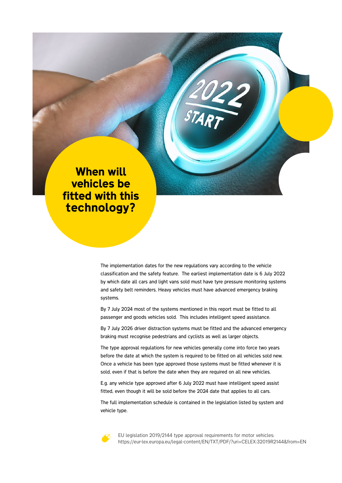### When will vehicles be fitted with this technology?

The implementation dates for the new regulations vary according to the vehicle classification and the safety feature. The earliest implementation date is 6 July 2022 by which date all cars and light vans sold must have tyre pressure monitoring systems and safety belt reminders. Heavy vehicles must have advanced emergency braking systems.

By 7 July 2024 most of the systems mentioned in this report must be fitted to all passenger and goods vehicles sold. This includes intelligent speed assistance.

By 7 July 2026 driver distraction systems must be fitted and the advanced emergency braking must recognise pedestrians and cyclists as well as larger objects.

The type approval regulations for new vehicles generally come into force two years before the date at which the system is required to be fitted on all vehicles sold new. Once a vehicle has been type approved those systems must be fitted whenever it is sold, even if that is before the date when they are required on all new vehicles.

E.g. any vehicle type approved after 6 July 2022 must have intelligent speed assist fitted, even though it will be sold before the 2024 date that applies to all cars.

The full implementation schedule is contained in the legislation listed by system and vehicle type.



EU legislation 2019/2144 type approval requirements for motor vehicles: https://eur-lex.europa.eu/legal-content/EN/TXT/PDF/?uri=CELEX:32019R2144&from=EN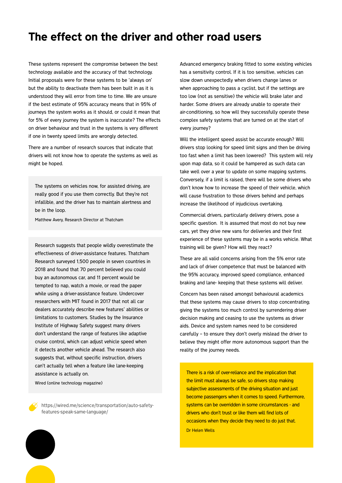### The effect on the driver and other road users

These systems represent the compromise between the best technology available and the accuracy of that technology. Initial proposals were for these systems to be 'always on' but the ability to deactivate them has been built in as it is understood they will error from time to time. We are unsure if the best estimate of 95% accuracy means that in 95% of journeys the system works as it should, or could it mean that for 5% of every journey the system is inaccurate? The effects on driver behaviour and trust in the systems is very different if one in twenty speed limits are wrongly detected.

There are a number of research sources that indicate that drivers will not know how to operate the systems as well as might be hoped.

The systems on vehicles now, for assisted driving, are really good if you use them correctly. But they're not infallible, and the driver has to maintain alertness and be in the loop.

Matthew Avery, Research Director at Thatcham

Research suggests that people wildly overestimate the effectiveness of driver-assistance features. Thatcham Research surveyed 1,500 people in seven countries in 2018 and found that 70 percent believed you could buy an autonomous car, and 11 percent would be tempted to nap, watch a movie, or read the paper while using a driver-assistance feature. Undercover researchers with MIT found in 2017 that not all car dealers accurately describe new features' abilities or limitations to customers. Studies by the Insurance Institute of Highway Safety suggest many drivers don't understand the range of features like adaptive cruise control, which can adjust vehicle speed when it detects another vehicle ahead. The research also suggests that, without specific instruction, drivers can't actually tell when a feature like lane-keeping assistance is actually on.

Wired (online technology magazine)

https://wired.me/science/transportation/auto-safetyfeatures-speak-same-language/

Advanced emergency braking fitted to some existing vehicles has a sensitivity control. If it is too sensitive, vehicles can slow down unexpectedly when drivers change lanes or when approaching to pass a cyclist, but if the settings are too low (not as sensitive) the vehicle will brake later and harder. Some drivers are already unable to operate their air-conditioning, so how will they successfully operate these complex safety systems that are turned on at the start of every journey?

Will the intelligent speed assist be accurate enough? Will drivers stop looking for speed limit signs and then be driving too fast when a limit has been lowered? This system will rely upon map data, so it could be hampered as such data can take well over a year to update on some mapping systems. Conversely, if a limit is raised, there will be some drivers who don't know how to increase the speed of their vehicle, which will cause frustration to those drivers behind and perhaps increase the likelihood of injudicious overtaking.

Commercial drivers, particularly delivery drivers, pose a specific question. It is assumed that most do not buy new cars, yet they drive new vans for deliveries and their first experience of these systems may be in a works vehicle. What training will be given? How will they react?

These are all valid concerns arising from the 5% error rate and lack of driver competence that must be balanced with the 95% accuracy, improved speed compliance, enhanced braking and lane- keeping that these systems will deliver.

Concern has been raised amongst behavioural academics that these systems may cause drivers to stop concentrating; giving the systems too much control by surrendering driver decision making and ceasing to use the systems as driver aids. Device and system names need to be considered carefully – to ensure they don't overly mislead the driver to believe they might offer more autonomous support than the reality of the journey needs.

There is a risk of over-reliance and the implication that the limit must always be safe, so drivers stop making subjective assessments of the driving situation and just become passengers when it comes to speed. Furthermore, systems can be overridden in some circumstances - and drivers who don't trust or like them will find lots of occasions when they decide they need to do just that. Dr Helen Wells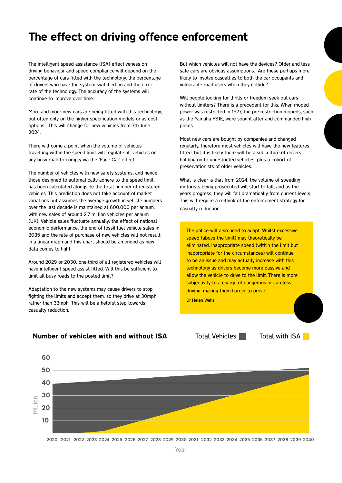### The effect on driving offence enforcement

The intelligent speed assistance (ISA) effectiveness on driving behaviour and speed compliance will depend on the percentage of cars fitted with the technology, the percentage of drivers who have the system switched on and the error rate of the technology. The accuracy of the systems will continue to improve over time.

More and more new cars are being fitted with this technology, but often only on the higher specification models or as cost options. This will change for new vehicles from 7th June 2024.

There will come a point when the volume of vehicles travelling within the speed limit will regulate all vehicles on any busy road to comply via the 'Pace Car' effect.

The number of vehicles with new safety systems, and hence those designed to automatically adhere to the speed limit, has been calculated alongside the total number of registered vehicles. This prediction does not take account of market variations but assumes the average growth in vehicle numbers over the last decade is maintained at 600,000 per annum, with new sales of around 2.7 million vehicles per annum (UK). Vehicle sales fluctuate annually: the effect of national economic performance, the end of fossil fuel vehicle sales in 2035 and the rate of purchase of new vehicles will not result in a linear graph and this chart should be amended as new data comes to light.

Around 2029 or 2030, one-third of all registered vehicles will have intelligent speed assist fitted. Will this be sufficient to limit all busy roads to the posted limit?

Adaptation to the new systems may cause drivers to stop fighting the limits and accept them, so they drive at 30mph rather than 33mph. This will be a helpful step towards casualty reduction.

But which vehicles will not have the devices? Older and less safe cars are obvious assumptions. Are these perhaps more likely to involve casualties to both the car occupants and vulnerable road users when they collide?

Will people looking for thrills or freedom seek out cars without limiters? There is a precedent for this. When moped power was restricted in 1977, the pre-restriction mopeds, such as the Yamaha FS1E, were sought after and commanded high prices.

Most new cars are bought by companies and changed regularly, therefore most vehicles will have the new features fitted, but it is likely there will be a subculture of drivers holding on to unrestricted vehicles, plus a cohort of preservationists of older vehicles.

What is clear is that from 2024, the volume of speeding motorists being prosecuted will start to fall, and as the years progress, they will fall dramatically from current levels. This will require a re-think of the enforcement strategy for casualty reduction.

The police will also need to adapt. Whilst excessive speed (above the limit) may theoretically be eliminated, inappropriate speed (within the limit but inappropriate for the circumstances) will continue to be an issue and may actually increase with this technology as drivers become more passive and allow the vehicle to drive to the limit. There is more subjectivity to a charge of dangerous or careless driving, making them harder to prove.

Dr Helen Wells

Total Vehicles **The Total with ISA** 



#### Number of vehicles with and without ISA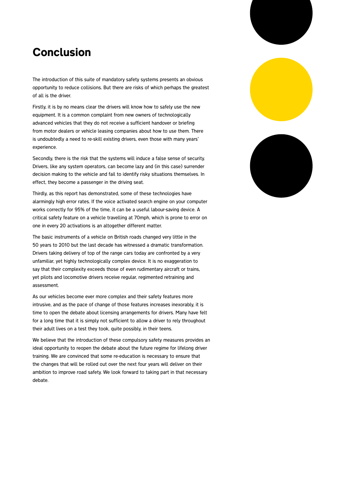### Conclusion

The introduction of this suite of mandatory safety systems presents an obvious opportunity to reduce collisions. But there are risks of which perhaps the greatest of all is the driver.

Firstly, it is by no means clear the drivers will know how to safely use the new equipment. It is a common complaint from new owners of technologically advanced vehicles that they do not receive a sufficient handover or briefing from motor dealers or vehicle leasing companies about how to use them. There is undoubtedly a need to re-skill existing drivers, even those with many years' experience.

Secondly, there is the risk that the systems will induce a false sense of security. Drivers, like any system operators, can become lazy and (in this case) surrender decision making to the vehicle and fail to identify risky situations themselves. In effect, they become a passenger in the driving seat.

Thirdly, as this report has demonstrated, some of these technologies have alarmingly high error rates. If the voice activated search engine on your computer works correctly for 95% of the time, it can be a useful labour-saving device. A critical safety feature on a vehicle travelling at 70mph, which is prone to error on one in every 20 activations is an altogether different matter.

The basic instruments of a vehicle on British roads changed very little in the 50 years to 2010 but the last decade has witnessed a dramatic transformation. Drivers taking delivery of top of the range cars today are confronted by a very unfamiliar, yet highly technologically complex device. It is no exaggeration to say that their complexity exceeds those of even rudimentary aircraft or trains, yet pilots and locomotive drivers receive regular, regimented retraining and assessment.

As our vehicles become ever more complex and their safety features more intrusive, and as the pace of change of those features increases inexorably, it is time to open the debate about licensing arrangements for drivers. Many have felt for a long time that it is simply not sufficient to allow a driver to rely throughout their adult lives on a test they took, quite possibly, in their teens.

We believe that the introduction of these compulsory safety measures provides an ideal opportunity to reopen the debate about the future regime for lifelong driver training. We are convinced that some re-education is necessary to ensure that the changes that will be rolled out over the next four years will deliver on their ambition to improve road safety. We look forward to taking part in that necessary debate.

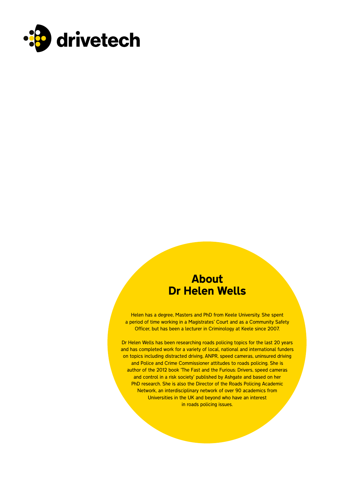

### About Dr Helen Wells

Helen has a degree, Masters and PhD from Keele University. She spent a period of time working in a Magistrates' Court and as a Community Safety Officer, but has been a lecturer in Criminology at Keele since 2007.

Dr Helen Wells has been researching roads policing topics for the last 20 years and has completed work for a variety of local, national and international funders on topics including distracted driving, ANPR, speed cameras, uninsured driving and Police and Crime Commissioner attitudes to roads policing. She is author of the 2012 book 'The Fast and the Furious: Drivers, speed cameras and control in a risk society' published by Ashgate and based on her PhD research. She is also the Director of the Roads Policing Academic Network, an interdisciplinary network of over 90 academics from Universities in the UK and beyond who have an interest in roads policing issues.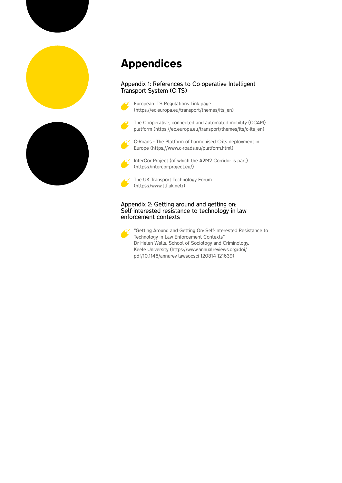

## Appendices

#### Appendix 1: References to Co-operative Intelligent Transport System (CITS)



European ITS Regulations Link page (https://ec.europa.eu/transport/themes/its\_en)

The Cooperative, connected and automated mobility (CCAM) platform (https://ec.europa.eu/transport/themes/its/c-its\_en)



C-Roads - The Platform of harmonised C-its deployment in Europe (https://www.c-roads.eu/platform.html)



InterCor Project (of which the A2M2 Corridor is part) (https://intercor-project.eu/)



The UK Transport Technology Forum (https://www.ttf.uk.net/)

#### Appendix 2: Getting around and getting on: Self-interested resistance to technology in law enforcement contexts



"Getting Around and Getting On: Self-Interested Resistance to Technology in Law Enforcement Contexts" Dr Helen Wells, School of Sociology and Criminology, Keele University (https://www.annualreviews.org/doi/ pdf/10.1146/annurev-lawsocsci-120814-121639)